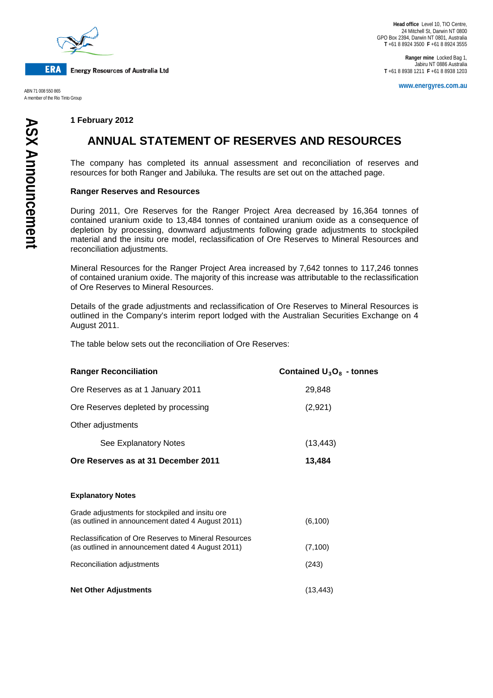

**ERA Energy Resources of Australia Ltd** 

A member of the Rio Tinto Group

**Ranger mine** Locked Bag 1, Jabiru NT 0886 Australia **T** +61 8 8938 1211 **F** +61 8 8938 1203

**www.energyres.com.au** ABN 71 008 550 865

### **1 February 2012**

# **ANNUAL STATEMENT OF RESERVES AND RESOURCES**

The company has completed its annual assessment and reconciliation of reserves and resources for both Ranger and Jabiluka. The results are set out on the attached page.

#### **Ranger Reserves and Resources**

During 2011, Ore Reserves for the Ranger Project Area decreased by 16,364 tonnes of contained uranium oxide to 13,484 tonnes of contained uranium oxide as a consequence of depletion by processing, downward adjustments following grade adjustments to stockpiled material and the insitu ore model, reclassification of Ore Reserves to Mineral Resources and reconciliation adjustments.

Mineral Resources for the Ranger Project Area increased by 7,642 tonnes to 117,246 tonnes of contained uranium oxide. The majority of this increase was attributable to the reclassification of Ore Reserves to Mineral Resources.

Details of the grade adjustments and reclassification of Ore Reserves to Mineral Resources is outlined in the Company's interim report lodged with the Australian Securities Exchange on 4 August 2011.

The table below sets out the reconciliation of Ore Reserves:

| <b>Ranger Reconciliation</b>                                                                                      | Contained $U_3O_8$ - tonnes |
|-------------------------------------------------------------------------------------------------------------------|-----------------------------|
| Ore Reserves as at 1 January 2011                                                                                 | 29,848                      |
| Ore Reserves depleted by processing                                                                               | (2,921)                     |
| Other adjustments                                                                                                 |                             |
| See Explanatory Notes                                                                                             | (13, 443)                   |
| Ore Reserves as at 31 December 2011                                                                               | 13,484                      |
|                                                                                                                   |                             |
| <b>Explanatory Notes</b>                                                                                          |                             |
| Grade adjustments for stockpiled and insitu ore<br>(as outlined in announcement dated 4 August 2011)              | (6, 100)                    |
| <b>Reclassification of Ore Reserves to Mineral Resources</b><br>(as outlined in announcement dated 4 August 2011) | (7, 100)                    |
| Reconciliation adjustments                                                                                        | (243)                       |
| <b>Net Other Adjustments</b>                                                                                      | (13, 443)                   |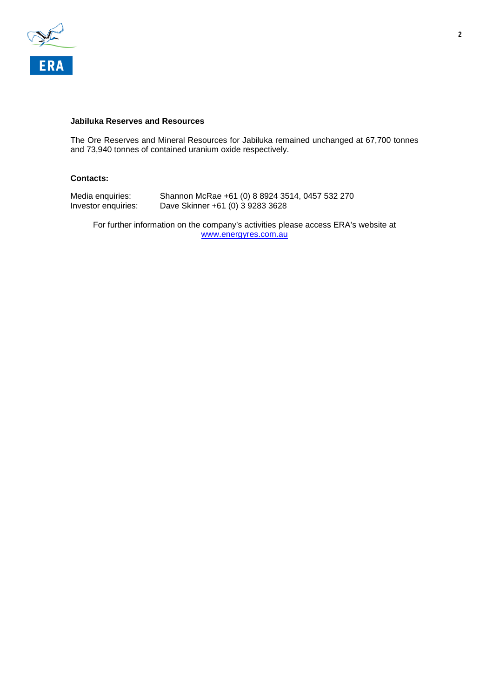

#### **Jabiluka Reserves and Resources**

The Ore Reserves and Mineral Resources for Jabiluka remained unchanged at 67,700 tonnes and 73,940 tonnes of contained uranium oxide respectively.

## **Contacts:**

| Media enquiries:    | Shannon McRae +61 (0) 8 8924 3514, 0457 532 270 |
|---------------------|-------------------------------------------------|
| Investor enquiries: | Dave Skinner +61 (0) 3 9283 3628                |

For further information on the company's activities please access ERA's website at [www.energyres.com.au](http://www.energyres.com.au/)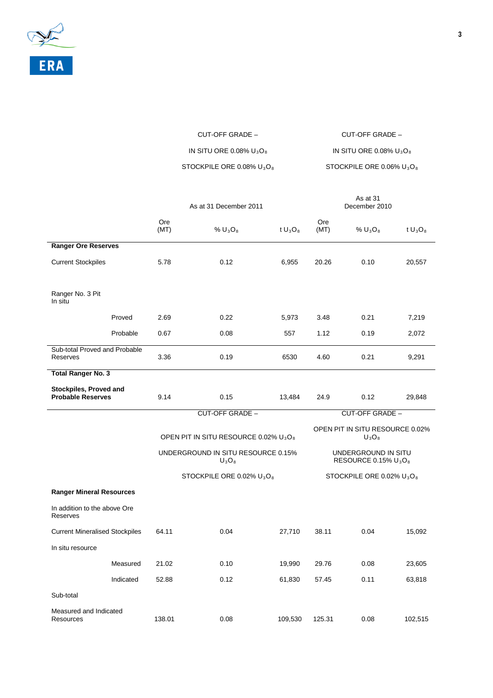

| CUT-OFF GRADE –              | CUT-OFF GRADE -              |
|------------------------------|------------------------------|
| IN SITU ORE 0.08% $U_3O_8$   | IN SITU ORE 0.08% $U_3O_8$   |
| STOCKPILE ORE 0.08% $U_3O_8$ | STOCKPILE ORE 0.06% $U_3O_8$ |

|                                                    |           | As at 31 December 2011                                        |                                   |            | As at 31<br>December 2010                      |                 |            |  |
|----------------------------------------------------|-----------|---------------------------------------------------------------|-----------------------------------|------------|------------------------------------------------|-----------------|------------|--|
|                                                    |           | Ore<br>(MT)                                                   | $%$ U <sub>3</sub> O <sub>8</sub> | t $U_3O_8$ | Ore<br>(MT)                                    | % $U_3O_8$      | t $U_3O_8$ |  |
| <b>Ranger Ore Reserves</b>                         |           |                                                               |                                   |            |                                                |                 |            |  |
| <b>Current Stockpiles</b>                          |           | 5.78                                                          | 0.12                              | 6,955      | 20.26                                          | 0.10            | 20,557     |  |
| Ranger No. 3 Pit<br>In situ                        |           |                                                               |                                   |            |                                                |                 |            |  |
|                                                    | Proved    | 2.69                                                          | 0.22                              | 5,973      | 3.48                                           | 0.21            | 7,219      |  |
|                                                    | Probable  | 0.67                                                          | 0.08                              | 557        | 1.12                                           | 0.19            | 2,072      |  |
| Sub-total Proved and Probable<br><b>Reserves</b>   |           | 3.36                                                          | 0.19                              | 6530       | 4.60                                           | 0.21            | 9,291      |  |
| <b>Total Ranger No. 3</b>                          |           |                                                               |                                   |            |                                                |                 |            |  |
| Stockpiles, Proved and<br><b>Probable Reserves</b> |           | 9.14                                                          | 0.15                              | 13,484     | 24.9                                           | 0.12            | 29,848     |  |
|                                                    |           |                                                               | <b>CUT-OFF GRADE -</b>            |            |                                                | CUT-OFF GRADE - |            |  |
|                                                    |           | OPEN PIT IN SITU RESOURCE 0.02% U <sub>3</sub> O <sub>8</sub> |                                   |            | OPEN PIT IN SITU RESOURCE 0.02%<br>$U_3O_8$    |                 |            |  |
|                                                    |           | UNDERGROUND IN SITU RESOURCE 0.15%<br>$U_3O_8$                |                                   |            | UNDERGROUND IN SITU<br>RESOURCE 0.15% $U_3O_8$ |                 |            |  |
|                                                    |           |                                                               | STOCKPILE ORE 0.02% $U_3O_8$      |            | STOCKPILE ORE 0.02% $U_3O_8$                   |                 |            |  |
| <b>Ranger Mineral Resources</b>                    |           |                                                               |                                   |            |                                                |                 |            |  |
| In addition to the above Ore<br>Reserves           |           |                                                               |                                   |            |                                                |                 |            |  |
| <b>Current Mineralised Stockpiles</b>              |           | 64.11                                                         | 0.04                              | 27,710     | 38.11                                          | 0.04            | 15,092     |  |
| In situ resource                                   |           |                                                               |                                   |            |                                                |                 |            |  |
|                                                    | Measured  | 21.02                                                         | 0.10                              | 19,990     | 29.76                                          | 0.08            | 23,605     |  |
|                                                    | Indicated | 52.88                                                         | 0.12                              | 61,830     | 57.45                                          | 0.11            | 63,818     |  |
| Sub-total                                          |           |                                                               |                                   |            |                                                |                 |            |  |
| Measured and Indicated<br>Resources                |           | 138.01                                                        | 0.08                              | 109,530    | 125.31                                         | 0.08            | 102,515    |  |